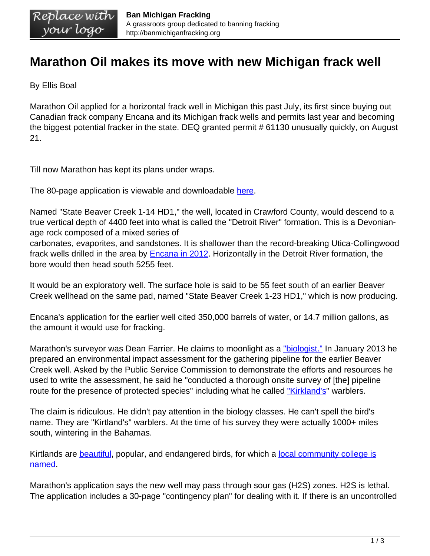## **Marathon Oil makes its move with new Michigan frack well**

By Ellis Boal

Marathon Oil applied for a horizontal frack well in Michigan this past July, its first since buying out Canadian frack company Encana and its Michigan frack wells and permits last year and becoming the biggest potential fracker in the state. DEQ granted permit # 61130 unusually quickly, on August 21.

Till now Marathon has kept its plans under wraps.

The 80-page application is viewable and downloadable [here](http://banmichiganfracking.org/wp-content/uploads/2015/08/A150072.pdf).

Named "State Beaver Creek 1-14 HD1," the well, located in Crawford County, would descend to a true vertical depth of 4400 feet into what is called the "Detroit River" formation. This is a Devonianage rock composed of a mixed series of

carbonates, evaporites, and sandstones. It is shallower than the record-breaking Utica-Collingwood frack wells drilled in the area by **Encana in 2012**. Horizontally in the Detroit River formation, the bore would then head south 5255 feet.

It would be an exploratory well. The surface hole is said to be 55 feet south of an earlier Beaver Creek wellhead on the same pad, named "State Beaver Creek 1-23 HD1," which is now producing.

Encana's application for the earlier well cited 350,000 barrels of water, or 14.7 million gallons, as the amount it would use for fracking.

Marathon's surveyor was Dean Farrier. He claims to moonlight as a ["biologist."](http://efile.mpsc.state.mi.us/efile/docs/17196/0002.pdf) In January 2013 he prepared an environmental impact assessment for the gathering pipeline for the earlier Beaver Creek well. Asked by the Public Service Commission to demonstrate the efforts and resources he used to write the assessment, he said he "conducted a thorough onsite survey of [the] pipeline route for the presence of protected species" including what he called ["Kirkland's"](http://efile.mpsc.state.mi.us/efile/docs/17196/0028.pdf) warblers.

The claim is ridiculous. He didn't pay attention in the biology classes. He can't spell the bird's name. They are "Kirtland's" warblers. At the time of his survey they were actually 1000+ miles south, wintering in the Bahamas.

Kirtlands are **beautiful**, popular, and endangered birds, for which a [local community college is](http://www.kirtland.edu/) [named](http://www.kirtland.edu/).

Marathon's application says the new well may pass through sour gas (H2S) zones. H2S is lethal. The application includes a 30-page "contingency plan" for dealing with it. If there is an uncontrolled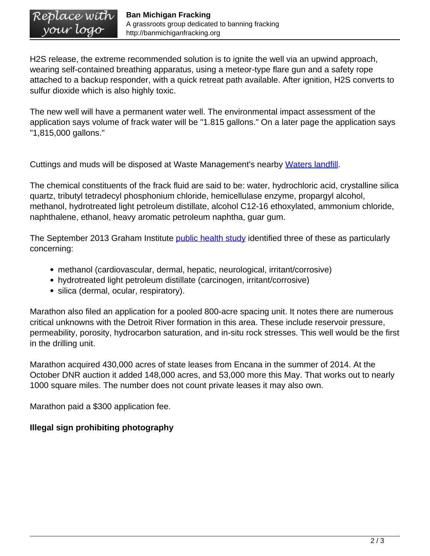H2S release, the extreme recommended solution is to ignite the well via an upwind approach, wearing self-contained breathing apparatus, using a meteor-type flare gun and a safety rope attached to a backup responder, with a quick retreat path available. After ignition, H2S converts to sulfur dioxide which is also highly toxic.

The new well will have a permanent water well. The environmental impact assessment of the application says volume of frack water will be "1.815 gallons." On a later page the application says "1,815,000 gallons."

Cuttings and muds will be disposed at Waste Management's nearby [Waters landfill.](https://www.wmsolutions.com/facilities/details/id/79)

The chemical constituents of the frack fluid are said to be: water, hydrochloric acid, crystalline silica quartz, tributyl tetradecyl phosphonium chloride, hemicellulase enzyme, propargyl alcohol, methanol, hydrotreated light petroleum distillate, alcohol C12-16 ethoxylated, ammonium chloride, naphthalene, ethanol, heavy aromatic petroleum naphtha, guar gum.

The September 2013 Graham Institute **[public health study](http://graham.umich.edu/media/files/HF-05-Public-Health.pdf)** identified three of these as particularly concerning:

- methanol (cardiovascular, dermal, hepatic, neurological, irritant/corrosive)
- hydrotreated light petroleum distillate (carcinogen, irritant/corrosive)
- silica (dermal, ocular, respiratory).

Marathon also filed an application for a pooled 800-acre spacing unit. It notes there are numerous critical unknowns with the Detroit River formation in this area. These include reservoir pressure, permeability, porosity, hydrocarbon saturation, and in-situ rock stresses. This well would be the first in the drilling unit.

Marathon acquired 430,000 acres of state leases from Encana in the summer of 2014. At the October DNR auction it added 148,000 acres, and 53,000 more this May. That works out to nearly 1000 square miles. The number does not count private leases it may also own.

Marathon paid a \$300 application fee.

## **Illegal sign prohibiting photography**